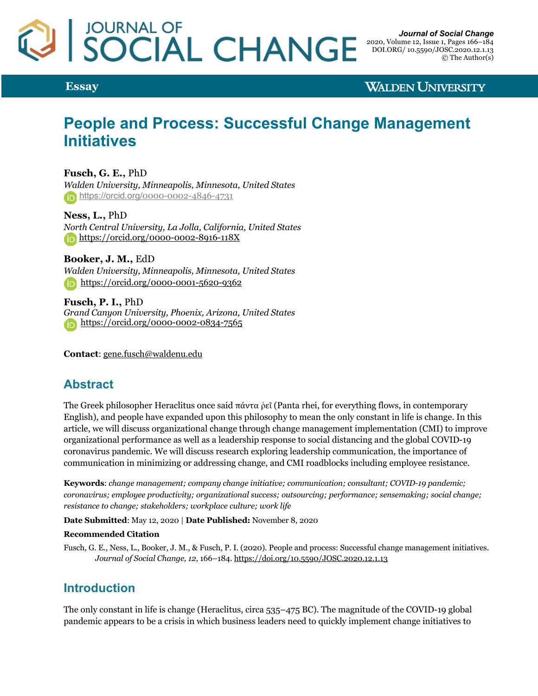

**Essay**

**WALDEN UNIVERSITY** 

# **People and Process: Successful Change Management Initiatives**

**Fusch, G. E.,** PhD *Walden University, Minneapolis, Minnesota, United States* https://orcid.org/0000-0002-4846-4731

**Ness, L.,** PhD *North Central University, La Jolla, California, United States* https://orcid.org/0000-0002-8916-118X

**Booker, J. M.,** EdD *Walden University, Minneapolis, Minnesota, United States* https://orcid.org/0000-0001-5620-9362

**Fusch, P. I.,** PhD *Grand Canyon University, Phoenix, Arizona, United States* https://orcid.org/0000-0002-0834-7565

**Contact**: gene.fusch@waldenu.edu

# **Abstract**

The Greek philosopher Heraclitus once said πάντα ρεῖ (Panta rhei, for everything flows, in contemporary English), and people have expanded upon this philosophy to mean the only constant in life is change. In this article, we will discuss organizational change through change management implementation (CMI) to improve organizational performance as well as a leadership response to social distancing and the global COVID-19 coronavirus pandemic. We will discuss research exploring leadership communication, the importance of communication in minimizing or addressing change, and CMI roadblocks including employee resistance.

**Keywords**: *change management; company change initiative; communication; consultant; COVID-19 pandemic; coronavirus; employee productivity; organizational success; outsourcing; performance; sensemaking; social change; resistance to change; stakeholders; workplace culture; work life*

**Date Submitted**: May 12, 2020 | **Date Published:** November 8, 2020

#### **Recommended Citation**

Fusch, G. E., Ness, L., Booker, J. M., & Fusch, P. I. (2020). People and process: Successful change management initiatives. *Journal of Social Change, 12*, 166–184. https://doi.org/10.5590/JOSC.2020.12.1.13

#### **Introduction**

The only constant in life is change (Heraclitus, circa 535–475 BC). The magnitude of the COVID-19 global pandemic appears to be a crisis in which business leaders need to quickly implement change initiatives to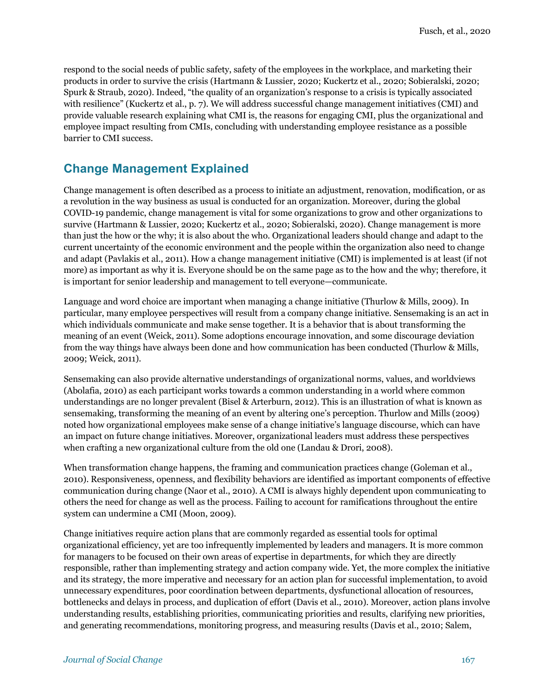respond to the social needs of public safety, safety of the employees in the workplace, and marketing their products in order to survive the crisis (Hartmann & Lussier, 2020; Kuckertz et al., 2020; Sobieralski, 2020; Spurk & Straub, 2020). Indeed, "the quality of an organization's response to a crisis is typically associated with resilience" (Kuckertz et al., p. 7). We will address successful change management initiatives (CMI) and provide valuable research explaining what CMI is, the reasons for engaging CMI, plus the organizational and employee impact resulting from CMIs, concluding with understanding employee resistance as a possible barrier to CMI success.

#### **Change Management Explained**

Change management is often described as a process to initiate an adjustment, renovation, modification, or as a revolution in the way business as usual is conducted for an organization. Moreover, during the global COVID-19 pandemic, change management is vital for some organizations to grow and other organizations to survive (Hartmann & Lussier, 2020; Kuckertz et al., 2020; Sobieralski, 2020). Change management is more than just the how or the why; it is also about the who. Organizational leaders should change and adapt to the current uncertainty of the economic environment and the people within the organization also need to change and adapt (Pavlakis et al., 2011). How a change management initiative (CMI) is implemented is at least (if not more) as important as why it is. Everyone should be on the same page as to the how and the why; therefore, it is important for senior leadership and management to tell everyone—communicate.

Language and word choice are important when managing a change initiative (Thurlow & Mills, 2009). In particular, many employee perspectives will result from a company change initiative. Sensemaking is an act in which individuals communicate and make sense together. It is a behavior that is about transforming the meaning of an event (Weick, 2011). Some adoptions encourage innovation, and some discourage deviation from the way things have always been done and how communication has been conducted (Thurlow & Mills, 2009; Weick, 2011).

Sensemaking can also provide alternative understandings of organizational norms, values, and worldviews (Abolafia, 2010) as each participant works towards a common understanding in a world where common understandings are no longer prevalent (Bisel & Arterburn, 2012). This is an illustration of what is known as sensemaking, transforming the meaning of an event by altering one's perception. Thurlow and Mills (2009) noted how organizational employees make sense of a change initiative's language discourse, which can have an impact on future change initiatives. Moreover, organizational leaders must address these perspectives when crafting a new organizational culture from the old one (Landau & Drori, 2008).

When transformation change happens, the framing and communication practices change (Goleman et al., 2010). Responsiveness, openness, and flexibility behaviors are identified as important components of effective communication during change (Naor et al., 2010). A CMI is always highly dependent upon communicating to others the need for change as well as the process. Failing to account for ramifications throughout the entire system can undermine a CMI (Moon, 2009).

Change initiatives require action plans that are commonly regarded as essential tools for optimal organizational efficiency, yet are too infrequently implemented by leaders and managers. It is more common for managers to be focused on their own areas of expertise in departments, for which they are directly responsible, rather than implementing strategy and action company wide. Yet, the more complex the initiative and its strategy, the more imperative and necessary for an action plan for successful implementation, to avoid unnecessary expenditures, poor coordination between departments, dysfunctional allocation of resources, bottlenecks and delays in process, and duplication of effort (Davis et al., 2010). Moreover, action plans involve understanding results, establishing priorities, communicating priorities and results, clarifying new priorities, and generating recommendations, monitoring progress, and measuring results (Davis et al., 2010; Salem,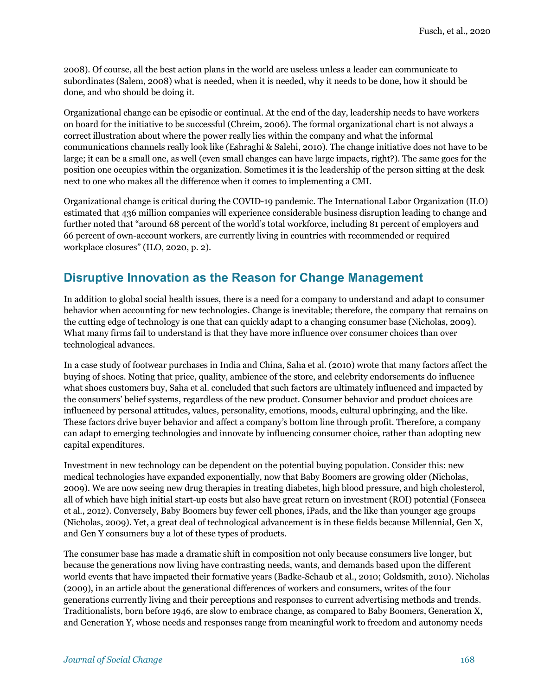2008). Of course, all the best action plans in the world are useless unless a leader can communicate to subordinates (Salem, 2008) what is needed, when it is needed, why it needs to be done, how it should be done, and who should be doing it.

Organizational change can be episodic or continual. At the end of the day, leadership needs to have workers on board for the initiative to be successful (Chreim, 2006). The formal organizational chart is not always a correct illustration about where the power really lies within the company and what the informal communications channels really look like (Eshraghi & Salehi, 2010). The change initiative does not have to be large; it can be a small one, as well (even small changes can have large impacts, right?). The same goes for the position one occupies within the organization. Sometimes it is the leadership of the person sitting at the desk next to one who makes all the difference when it comes to implementing a CMI.

Organizational change is critical during the COVID-19 pandemic. The International Labor Organization (ILO) estimated that 436 million companies will experience considerable business disruption leading to change and further noted that "around 68 percent of the world's total workforce, including 81 percent of employers and 66 percent of own-account workers, are currently living in countries with recommended or required workplace closures" (ILO, 2020, p. 2).

# **Disruptive Innovation as the Reason for Change Management**

In addition to global social health issues, there is a need for a company to understand and adapt to consumer behavior when accounting for new technologies. Change is inevitable; therefore, the company that remains on the cutting edge of technology is one that can quickly adapt to a changing consumer base (Nicholas, 2009). What many firms fail to understand is that they have more influence over consumer choices than over technological advances.

In a case study of footwear purchases in India and China, Saha et al. (2010) wrote that many factors affect the buying of shoes. Noting that price, quality, ambience of the store, and celebrity endorsements do influence what shoes customers buy, Saha et al. concluded that such factors are ultimately influenced and impacted by the consumers' belief systems, regardless of the new product. Consumer behavior and product choices are influenced by personal attitudes, values, personality, emotions, moods, cultural upbringing, and the like. These factors drive buyer behavior and affect a company's bottom line through profit. Therefore, a company can adapt to emerging technologies and innovate by influencing consumer choice, rather than adopting new capital expenditures.

Investment in new technology can be dependent on the potential buying population. Consider this: new medical technologies have expanded exponentially, now that Baby Boomers are growing older (Nicholas, 2009). We are now seeing new drug therapies in treating diabetes, high blood pressure, and high cholesterol, all of which have high initial start-up costs but also have great return on investment (ROI) potential (Fonseca et al., 2012). Conversely, Baby Boomers buy fewer cell phones, iPads, and the like than younger age groups (Nicholas, 2009). Yet, a great deal of technological advancement is in these fields because Millennial, Gen X, and Gen Y consumers buy a lot of these types of products.

The consumer base has made a dramatic shift in composition not only because consumers live longer, but because the generations now living have contrasting needs, wants, and demands based upon the different world events that have impacted their formative years (Badke-Schaub et al., 2010; Goldsmith, 2010). Nicholas (2009), in an article about the generational differences of workers and consumers, writes of the four generations currently living and their perceptions and responses to current advertising methods and trends. Traditionalists, born before 1946, are slow to embrace change, as compared to Baby Boomers, Generation X, and Generation Y, whose needs and responses range from meaningful work to freedom and autonomy needs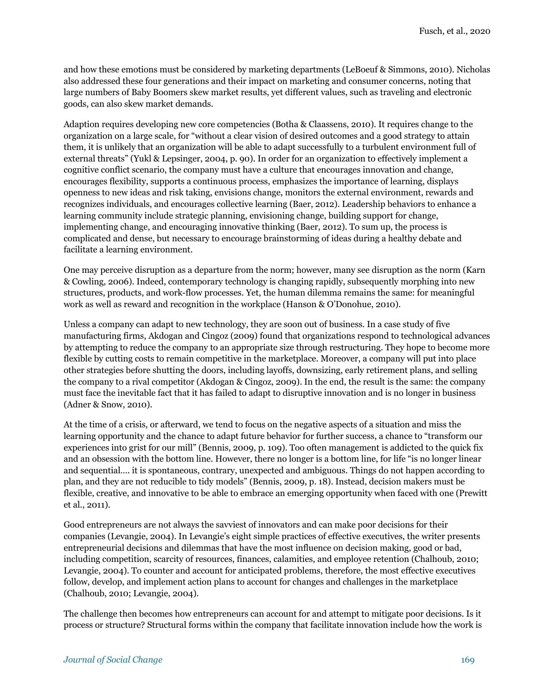and how these emotions must be considered by marketing departments (LeBoeuf & Simmons, 2010). Nicholas also addressed these four generations and their impact on marketing and consumer concerns, noting that large numbers of Baby Boomers skew market results, yet different values, such as traveling and electronic goods, can also skew market demands.

Adaption requires developing new core competencies (Botha & Claassens, 2010). It requires change to the organization on a large scale, for "without a clear vision of desired outcomes and a good strategy to attain them, it is unlikely that an organization will be able to adapt successfully to a turbulent environment full of external threats" (Yukl & Lepsinger, 2004, p. 90). In order for an organization to effectively implement a cognitive conflict scenario, the company must have a culture that encourages innovation and change, encourages flexibility, supports a continuous process, emphasizes the importance of learning, displays openness to new ideas and risk taking, envisions change, monitors the external environment, rewards and recognizes individuals, and encourages collective learning (Baer, 2012). Leadership behaviors to enhance a learning community include strategic planning, envisioning change, building support for change, implementing change, and encouraging innovative thinking (Baer, 2012). To sum up, the process is complicated and dense, but necessary to encourage brainstorming of ideas during a healthy debate and facilitate a learning environment.

One may perceive disruption as a departure from the norm; however, many see disruption as the norm (Karn & Cowling, 2006). Indeed, contemporary technology is changing rapidly, subsequently morphing into new structures, products, and work-flow processes. Yet, the human dilemma remains the same: for meaningful work as well as reward and recognition in the workplace (Hanson & O'Donohue, 2010).

Unless a company can adapt to new technology, they are soon out of business. In a case study of five manufacturing firms, Akdogan and Cingoz (2009) found that organizations respond to technological advances by attempting to reduce the company to an appropriate size through restructuring. They hope to become more flexible by cutting costs to remain competitive in the marketplace. Moreover, a company will put into place other strategies before shutting the doors, including layoffs, downsizing, early retirement plans, and selling the company to a rival competitor (Akdogan & Cingoz, 2009). In the end, the result is the same: the company must face the inevitable fact that it has failed to adapt to disruptive innovation and is no longer in business (Adner & Snow, 2010).

At the time of a crisis, or afterward, we tend to focus on the negative aspects of a situation and miss the learning opportunity and the chance to adapt future behavior for further success, a chance to "transform our experiences into grist for our mill" (Bennis, 2009, p. 109). Too often management is addicted to the quick fix and an obsession with the bottom line. However, there no longer is a bottom line, for life "is no longer linear and sequential…. it is spontaneous, contrary, unexpected and ambiguous. Things do not happen according to plan, and they are not reducible to tidy models" (Bennis, 2009, p. 18). Instead, decision makers must be flexible, creative, and innovative to be able to embrace an emerging opportunity when faced with one (Prewitt et al., 2011).

Good entrepreneurs are not always the savviest of innovators and can make poor decisions for their companies (Levangie, 2004). In Levangie's eight simple practices of effective executives, the writer presents entrepreneurial decisions and dilemmas that have the most influence on decision making, good or bad, including competition, scarcity of resources, finances, calamities, and employee retention (Chalhoub, 2010; Levangie, 2004). To counter and account for anticipated problems, therefore, the most effective executives follow, develop, and implement action plans to account for changes and challenges in the marketplace (Chalhoub, 2010; Levangie, 2004).

The challenge then becomes how entrepreneurs can account for and attempt to mitigate poor decisions. Is it process or structure? Structural forms within the company that facilitate innovation include how the work is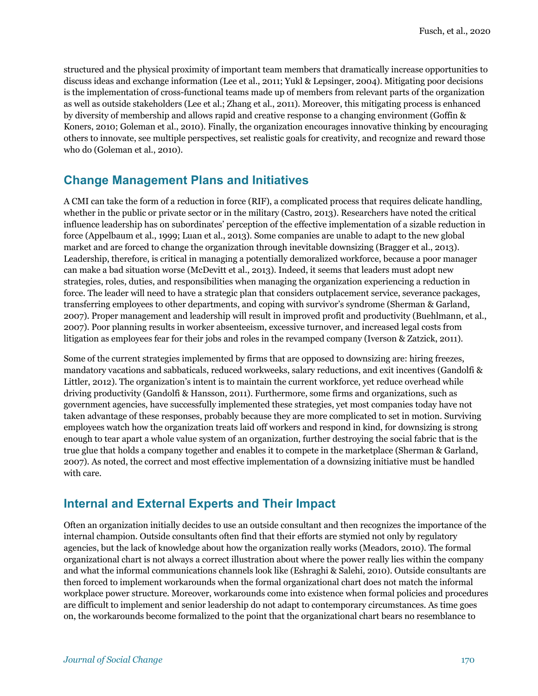structured and the physical proximity of important team members that dramatically increase opportunities to discuss ideas and exchange information (Lee et al., 2011; Yukl & Lepsinger, 2004). Mitigating poor decisions is the implementation of cross-functional teams made up of members from relevant parts of the organization as well as outside stakeholders (Lee et al.; Zhang et al., 2011). Moreover, this mitigating process is enhanced by diversity of membership and allows rapid and creative response to a changing environment (Goffin & Koners, 2010; Goleman et al., 2010). Finally, the organization encourages innovative thinking by encouraging others to innovate, see multiple perspectives, set realistic goals for creativity, and recognize and reward those who do (Goleman et al., 2010).

# **Change Management Plans and Initiatives**

A CMI can take the form of a reduction in force (RIF), a complicated process that requires delicate handling, whether in the public or private sector or in the military (Castro, 2013). Researchers have noted the critical influence leadership has on subordinates' perception of the effective implementation of a sizable reduction in force (Appelbaum et al., 1999; Luan et al., 2013). Some companies are unable to adapt to the new global market and are forced to change the organization through inevitable downsizing (Bragger et al., 2013). Leadership, therefore, is critical in managing a potentially demoralized workforce, because a poor manager can make a bad situation worse (McDevitt et al., 2013). Indeed, it seems that leaders must adopt new strategies, roles, duties, and responsibilities when managing the organization experiencing a reduction in force. The leader will need to have a strategic plan that considers outplacement service, severance packages, transferring employees to other departments, and coping with survivor's syndrome (Sherman & Garland, 2007). Proper management and leadership will result in improved profit and productivity (Buehlmann, et al., 2007). Poor planning results in worker absenteeism, excessive turnover, and increased legal costs from litigation as employees fear for their jobs and roles in the revamped company (Iverson & Zatzick, 2011).

Some of the current strategies implemented by firms that are opposed to downsizing are: hiring freezes, mandatory vacations and sabbaticals, reduced workweeks, salary reductions, and exit incentives (Gandolfi & Littler, 2012). The organization's intent is to maintain the current workforce, yet reduce overhead while driving productivity (Gandolfi & Hansson, 2011). Furthermore, some firms and organizations, such as government agencies, have successfully implemented these strategies, yet most companies today have not taken advantage of these responses, probably because they are more complicated to set in motion. Surviving employees watch how the organization treats laid off workers and respond in kind, for downsizing is strong enough to tear apart a whole value system of an organization, further destroying the social fabric that is the true glue that holds a company together and enables it to compete in the marketplace (Sherman & Garland, 2007). As noted, the correct and most effective implementation of a downsizing initiative must be handled with care.

# **Internal and External Experts and Their Impact**

Often an organization initially decides to use an outside consultant and then recognizes the importance of the internal champion. Outside consultants often find that their efforts are stymied not only by regulatory agencies, but the lack of knowledge about how the organization really works (Meadors, 2010). The formal organizational chart is not always a correct illustration about where the power really lies within the company and what the informal communications channels look like (Eshraghi & Salehi, 2010). Outside consultants are then forced to implement workarounds when the formal organizational chart does not match the informal workplace power structure. Moreover, workarounds come into existence when formal policies and procedures are difficult to implement and senior leadership do not adapt to contemporary circumstances. As time goes on, the workarounds become formalized to the point that the organizational chart bears no resemblance to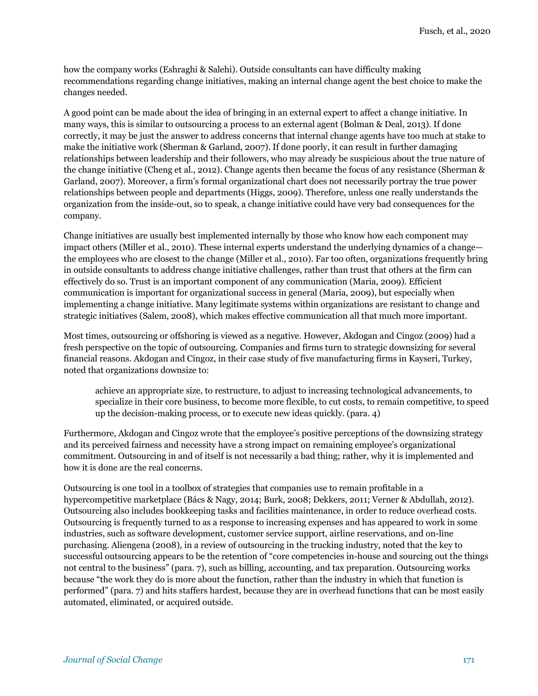how the company works (Eshraghi & Salehi). Outside consultants can have difficulty making recommendations regarding change initiatives, making an internal change agent the best choice to make the changes needed.

A good point can be made about the idea of bringing in an external expert to affect a change initiative. In many ways, this is similar to outsourcing a process to an external agent (Bolman & Deal, 2013). If done correctly, it may be just the answer to address concerns that internal change agents have too much at stake to make the initiative work (Sherman & Garland, 2007). If done poorly, it can result in further damaging relationships between leadership and their followers, who may already be suspicious about the true nature of the change initiative (Cheng et al., 2012). Change agents then became the focus of any resistance (Sherman & Garland, 2007). Moreover, a firm's formal organizational chart does not necessarily portray the true power relationships between people and departments (Higgs, 2009). Therefore, unless one really understands the organization from the inside-out, so to speak, a change initiative could have very bad consequences for the company.

Change initiatives are usually best implemented internally by those who know how each component may impact others (Miller et al., 2010). These internal experts understand the underlying dynamics of a change the employees who are closest to the change (Miller et al., 2010). Far too often, organizations frequently bring in outside consultants to address change initiative challenges, rather than trust that others at the firm can effectively do so. Trust is an important component of any communication (Maria, 2009). Efficient communication is important for organizational success in general (Maria, 2009), but especially when implementing a change initiative. Many legitimate systems within organizations are resistant to change and strategic initiatives (Salem, 2008), which makes effective communication all that much more important.

Most times, outsourcing or offshoring is viewed as a negative. However, Akdogan and Cingoz (2009) had a fresh perspective on the topic of outsourcing. Companies and firms turn to strategic downsizing for several financial reasons. Akdogan and Cingoz, in their case study of five manufacturing firms in Kayseri, Turkey, noted that organizations downsize to:

achieve an appropriate size, to restructure, to adjust to increasing technological advancements, to specialize in their core business, to become more flexible, to cut costs, to remain competitive, to speed up the decision-making process, or to execute new ideas quickly. (para. 4)

Furthermore, Akdogan and Cingoz wrote that the employee's positive perceptions of the downsizing strategy and its perceived fairness and necessity have a strong impact on remaining employee's organizational commitment. Outsourcing in and of itself is not necessarily a bad thing; rather, why it is implemented and how it is done are the real concerns.

Outsourcing is one tool in a toolbox of strategies that companies use to remain profitable in a hypercompetitive marketplace (Bács & Nagy, 2014; Burk, 2008; Dekkers, 2011; Verner & Abdullah, 2012). Outsourcing also includes bookkeeping tasks and facilities maintenance, in order to reduce overhead costs. Outsourcing is frequently turned to as a response to increasing expenses and has appeared to work in some industries, such as software development, customer service support, airline reservations, and on-line purchasing. Aliengena (2008), in a review of outsourcing in the trucking industry, noted that the key to successful outsourcing appears to be the retention of "core competencies in-house and sourcing out the things not central to the business" (para. 7), such as billing, accounting, and tax preparation. Outsourcing works because "the work they do is more about the function, rather than the industry in which that function is performed" (para. 7) and hits staffers hardest, because they are in overhead functions that can be most easily automated, eliminated, or acquired outside.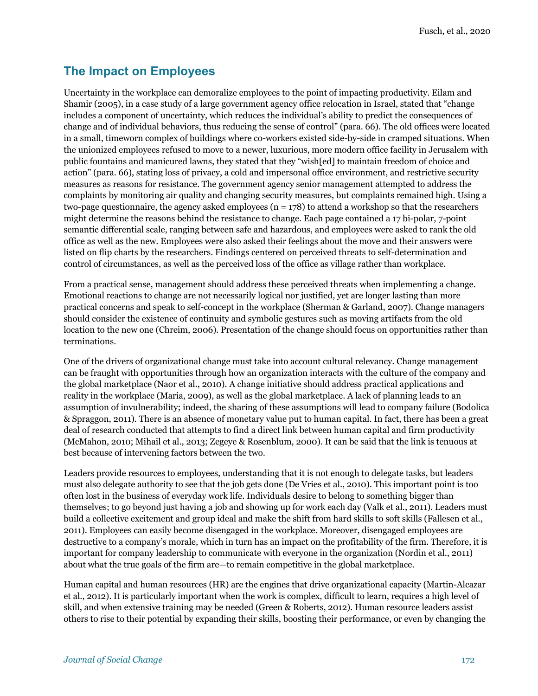#### **The Impact on Employees**

Uncertainty in the workplace can demoralize employees to the point of impacting productivity. Eilam and Shamir (2005), in a case study of a large government agency office relocation in Israel, stated that "change includes a component of uncertainty, which reduces the individual's ability to predict the consequences of change and of individual behaviors, thus reducing the sense of control" (para. 66). The old offices were located in a small, timeworn complex of buildings where co-workers existed side-by-side in cramped situations. When the unionized employees refused to move to a newer, luxurious, more modern office facility in Jerusalem with public fountains and manicured lawns, they stated that they "wish[ed] to maintain freedom of choice and action" (para. 66), stating loss of privacy, a cold and impersonal office environment, and restrictive security measures as reasons for resistance. The government agency senior management attempted to address the complaints by monitoring air quality and changing security measures, but complaints remained high. Using a two-page questionnaire, the agency asked employees ( $n = 178$ ) to attend a workshop so that the researchers might determine the reasons behind the resistance to change. Each page contained a 17 bi-polar, 7-point semantic differential scale, ranging between safe and hazardous, and employees were asked to rank the old office as well as the new. Employees were also asked their feelings about the move and their answers were listed on flip charts by the researchers. Findings centered on perceived threats to self-determination and control of circumstances, as well as the perceived loss of the office as village rather than workplace.

From a practical sense, management should address these perceived threats when implementing a change. Emotional reactions to change are not necessarily logical nor justified, yet are longer lasting than more practical concerns and speak to self-concept in the workplace (Sherman & Garland, 2007). Change managers should consider the existence of continuity and symbolic gestures such as moving artifacts from the old location to the new one (Chreim, 2006). Presentation of the change should focus on opportunities rather than terminations.

One of the drivers of organizational change must take into account cultural relevancy. Change management can be fraught with opportunities through how an organization interacts with the culture of the company and the global marketplace (Naor et al., 2010). A change initiative should address practical applications and reality in the workplace (Maria, 2009), as well as the global marketplace. A lack of planning leads to an assumption of invulnerability; indeed, the sharing of these assumptions will lead to company failure (Bodolica & Spraggon, 2011). There is an absence of monetary value put to human capital. In fact, there has been a great deal of research conducted that attempts to find a direct link between human capital and firm productivity (McMahon, 2010; Mihail et al., 2013; Zegeye & Rosenblum, 2000). It can be said that the link is tenuous at best because of intervening factors between the two.

Leaders provide resources to employees, understanding that it is not enough to delegate tasks, but leaders must also delegate authority to see that the job gets done (De Vries et al., 2010). This important point is too often lost in the business of everyday work life. Individuals desire to belong to something bigger than themselves; to go beyond just having a job and showing up for work each day (Valk et al., 2011). Leaders must build a collective excitement and group ideal and make the shift from hard skills to soft skills (Fallesen et al., 2011). Employees can easily become disengaged in the workplace. Moreover, disengaged employees are destructive to a company's morale, which in turn has an impact on the profitability of the firm. Therefore, it is important for company leadership to communicate with everyone in the organization (Nordin et al., 2011) about what the true goals of the firm are—to remain competitive in the global marketplace.

Human capital and human resources (HR) are the engines that drive organizational capacity (Martin-Alcazar et al., 2012). It is particularly important when the work is complex, difficult to learn, requires a high level of skill, and when extensive training may be needed (Green & Roberts, 2012). Human resource leaders assist others to rise to their potential by expanding their skills, boosting their performance, or even by changing the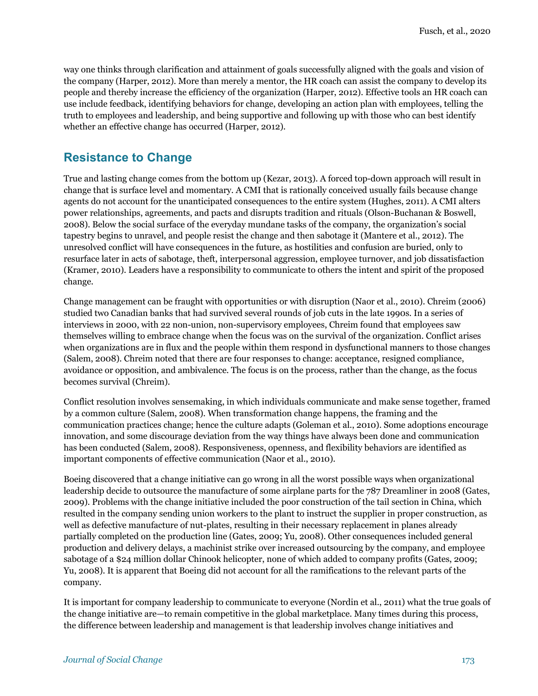way one thinks through clarification and attainment of goals successfully aligned with the goals and vision of the company (Harper, 2012). More than merely a mentor, the HR coach can assist the company to develop its people and thereby increase the efficiency of the organization (Harper, 2012). Effective tools an HR coach can use include feedback, identifying behaviors for change, developing an action plan with employees, telling the truth to employees and leadership, and being supportive and following up with those who can best identify whether an effective change has occurred (Harper, 2012).

#### **Resistance to Change**

True and lasting change comes from the bottom up (Kezar, 2013). A forced top-down approach will result in change that is surface level and momentary. A CMI that is rationally conceived usually fails because change agents do not account for the unanticipated consequences to the entire system (Hughes, 2011). A CMI alters power relationships, agreements, and pacts and disrupts tradition and rituals (Olson-Buchanan & Boswell, 2008). Below the social surface of the everyday mundane tasks of the company, the organization's social tapestry begins to unravel, and people resist the change and then sabotage it (Mantere et al., 2012). The unresolved conflict will have consequences in the future, as hostilities and confusion are buried, only to resurface later in acts of sabotage, theft, interpersonal aggression, employee turnover, and job dissatisfaction (Kramer, 2010). Leaders have a responsibility to communicate to others the intent and spirit of the proposed change.

Change management can be fraught with opportunities or with disruption (Naor et al., 2010). Chreim (2006) studied two Canadian banks that had survived several rounds of job cuts in the late 1990s. In a series of interviews in 2000, with 22 non-union, non-supervisory employees, Chreim found that employees saw themselves willing to embrace change when the focus was on the survival of the organization. Conflict arises when organizations are in flux and the people within them respond in dysfunctional manners to those changes (Salem, 2008). Chreim noted that there are four responses to change: acceptance, resigned compliance, avoidance or opposition, and ambivalence. The focus is on the process, rather than the change, as the focus becomes survival (Chreim).

Conflict resolution involves sensemaking, in which individuals communicate and make sense together, framed by a common culture (Salem, 2008). When transformation change happens, the framing and the communication practices change; hence the culture adapts (Goleman et al., 2010). Some adoptions encourage innovation, and some discourage deviation from the way things have always been done and communication has been conducted (Salem, 2008). Responsiveness, openness, and flexibility behaviors are identified as important components of effective communication (Naor et al., 2010).

Boeing discovered that a change initiative can go wrong in all the worst possible ways when organizational leadership decide to outsource the manufacture of some airplane parts for the 787 Dreamliner in 2008 (Gates, 2009). Problems with the change initiative included the poor construction of the tail section in China, which resulted in the company sending union workers to the plant to instruct the supplier in proper construction, as well as defective manufacture of nut-plates, resulting in their necessary replacement in planes already partially completed on the production line (Gates, 2009; Yu, 2008). Other consequences included general production and delivery delays, a machinist strike over increased outsourcing by the company, and employee sabotage of a \$24 million dollar Chinook helicopter, none of which added to company profits (Gates, 2009; Yu, 2008). It is apparent that Boeing did not account for all the ramifications to the relevant parts of the company.

It is important for company leadership to communicate to everyone (Nordin et al., 2011) what the true goals of the change initiative are—to remain competitive in the global marketplace. Many times during this process, the difference between leadership and management is that leadership involves change initiatives and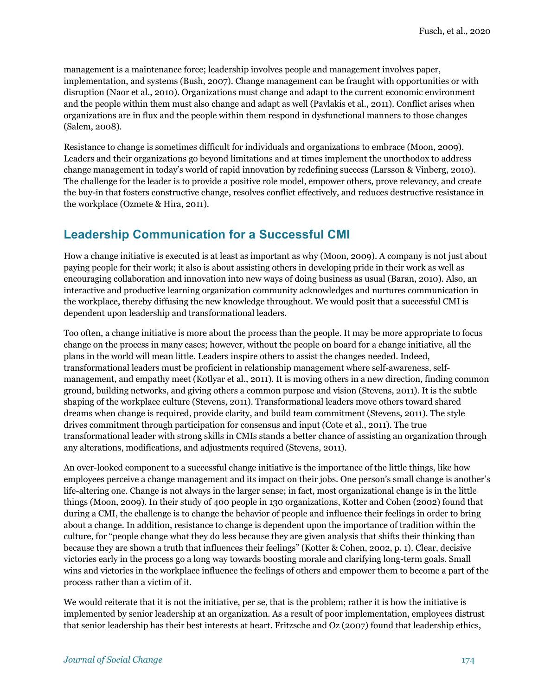management is a maintenance force; leadership involves people and management involves paper, implementation, and systems (Bush, 2007). Change management can be fraught with opportunities or with disruption (Naor et al., 2010). Organizations must change and adapt to the current economic environment and the people within them must also change and adapt as well (Pavlakis et al., 2011). Conflict arises when organizations are in flux and the people within them respond in dysfunctional manners to those changes (Salem, 2008).

Resistance to change is sometimes difficult for individuals and organizations to embrace (Moon, 2009). Leaders and their organizations go beyond limitations and at times implement the unorthodox to address change management in today's world of rapid innovation by redefining success (Larsson & Vinberg, 2010). The challenge for the leader is to provide a positive role model, empower others, prove relevancy, and create the buy-in that fosters constructive change, resolves conflict effectively, and reduces destructive resistance in the workplace (Ozmete & Hira, 2011).

# **Leadership Communication for a Successful CMI**

How a change initiative is executed is at least as important as why (Moon, 2009). A company is not just about paying people for their work; it also is about assisting others in developing pride in their work as well as encouraging collaboration and innovation into new ways of doing business as usual (Baran, 2010). Also, an interactive and productive learning organization community acknowledges and nurtures communication in the workplace, thereby diffusing the new knowledge throughout. We would posit that a successful CMI is dependent upon leadership and transformational leaders.

Too often, a change initiative is more about the process than the people. It may be more appropriate to focus change on the process in many cases; however, without the people on board for a change initiative, all the plans in the world will mean little. Leaders inspire others to assist the changes needed. Indeed, transformational leaders must be proficient in relationship management where self-awareness, selfmanagement, and empathy meet (Kotlyar et al., 2011). It is moving others in a new direction, finding common ground, building networks, and giving others a common purpose and vision (Stevens, 2011). It is the subtle shaping of the workplace culture (Stevens, 2011). Transformational leaders move others toward shared dreams when change is required, provide clarity, and build team commitment (Stevens, 2011). The style drives commitment through participation for consensus and input (Cote et al., 2011). The true transformational leader with strong skills in CMIs stands a better chance of assisting an organization through any alterations, modifications, and adjustments required (Stevens, 2011).

An over-looked component to a successful change initiative is the importance of the little things, like how employees perceive a change management and its impact on their jobs. One person's small change is another's life-altering one. Change is not always in the larger sense; in fact, most organizational change is in the little things (Moon, 2009). In their study of 400 people in 130 organizations, Kotter and Cohen (2002) found that during a CMI, the challenge is to change the behavior of people and influence their feelings in order to bring about a change. In addition, resistance to change is dependent upon the importance of tradition within the culture, for "people change what they do less because they are given analysis that shifts their thinking than because they are shown a truth that influences their feelings" (Kotter & Cohen, 2002, p. 1). Clear, decisive victories early in the process go a long way towards boosting morale and clarifying long-term goals. Small wins and victories in the workplace influence the feelings of others and empower them to become a part of the process rather than a victim of it.

We would reiterate that it is not the initiative, per se, that is the problem; rather it is how the initiative is implemented by senior leadership at an organization. As a result of poor implementation, employees distrust that senior leadership has their best interests at heart. Fritzsche and Oz (2007) found that leadership ethics,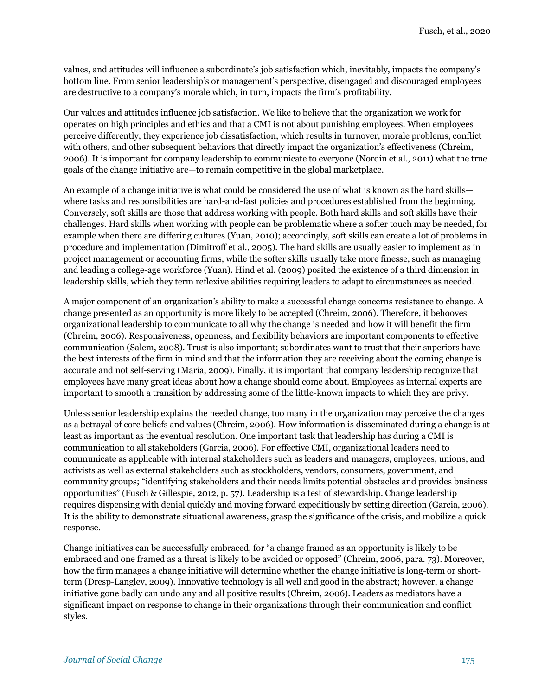values, and attitudes will influence a subordinate's job satisfaction which, inevitably, impacts the company's bottom line. From senior leadership's or management's perspective, disengaged and discouraged employees are destructive to a company's morale which, in turn, impacts the firm's profitability.

Our values and attitudes influence job satisfaction. We like to believe that the organization we work for operates on high principles and ethics and that a CMI is not about punishing employees. When employees perceive differently, they experience job dissatisfaction, which results in turnover, morale problems, conflict with others, and other subsequent behaviors that directly impact the organization's effectiveness (Chreim, 2006). It is important for company leadership to communicate to everyone (Nordin et al., 2011) what the true goals of the change initiative are—to remain competitive in the global marketplace.

An example of a change initiative is what could be considered the use of what is known as the hard skills where tasks and responsibilities are hard-and-fast policies and procedures established from the beginning. Conversely, soft skills are those that address working with people. Both hard skills and soft skills have their challenges. Hard skills when working with people can be problematic where a softer touch may be needed, for example when there are differing cultures (Yuan, 2010); accordingly, soft skills can create a lot of problems in procedure and implementation (Dimitroff et al., 2005). The hard skills are usually easier to implement as in project management or accounting firms, while the softer skills usually take more finesse, such as managing and leading a college-age workforce (Yuan). Hind et al. (2009) posited the existence of a third dimension in leadership skills, which they term reflexive abilities requiring leaders to adapt to circumstances as needed.

A major component of an organization's ability to make a successful change concerns resistance to change. A change presented as an opportunity is more likely to be accepted (Chreim, 2006). Therefore, it behooves organizational leadership to communicate to all why the change is needed and how it will benefit the firm (Chreim, 2006). Responsiveness, openness, and flexibility behaviors are important components to effective communication (Salem, 2008). Trust is also important; subordinates want to trust that their superiors have the best interests of the firm in mind and that the information they are receiving about the coming change is accurate and not self-serving (Maria, 2009). Finally, it is important that company leadership recognize that employees have many great ideas about how a change should come about. Employees as internal experts are important to smooth a transition by addressing some of the little-known impacts to which they are privy.

Unless senior leadership explains the needed change, too many in the organization may perceive the changes as a betrayal of core beliefs and values (Chreim, 2006). How information is disseminated during a change is at least as important as the eventual resolution. One important task that leadership has during a CMI is communication to all stakeholders (Garcia, 2006). For effective CMI, organizational leaders need to communicate as applicable with internal stakeholders such as leaders and managers, employees, unions, and activists as well as external stakeholders such as stockholders, vendors, consumers, government, and community groups; "identifying stakeholders and their needs limits potential obstacles and provides business opportunities" (Fusch & Gillespie, 2012, p. 57). Leadership is a test of stewardship. Change leadership requires dispensing with denial quickly and moving forward expeditiously by setting direction (Garcia, 2006). It is the ability to demonstrate situational awareness, grasp the significance of the crisis, and mobilize a quick response.

Change initiatives can be successfully embraced, for "a change framed as an opportunity is likely to be embraced and one framed as a threat is likely to be avoided or opposed" (Chreim, 2006, para. 73). Moreover, how the firm manages a change initiative will determine whether the change initiative is long-term or shortterm (Dresp-Langley, 2009). Innovative technology is all well and good in the abstract; however, a change initiative gone badly can undo any and all positive results (Chreim, 2006). Leaders as mediators have a significant impact on response to change in their organizations through their communication and conflict styles.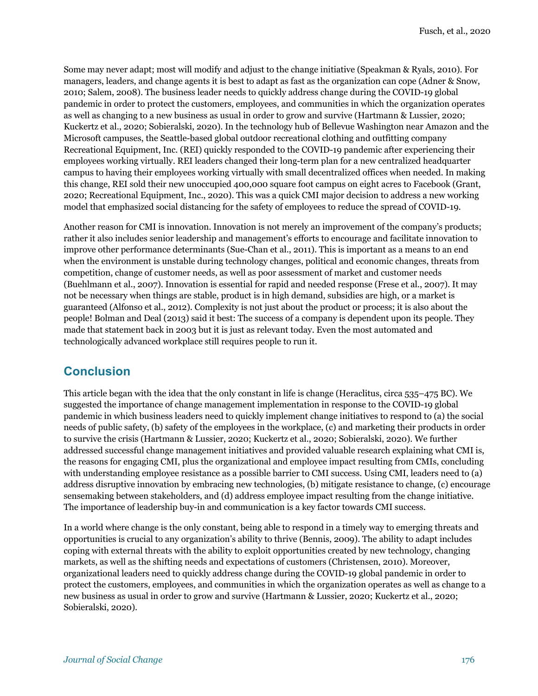Some may never adapt; most will modify and adjust to the change initiative (Speakman & Ryals, 2010). For managers, leaders, and change agents it is best to adapt as fast as the organization can cope (Adner & Snow, 2010; Salem, 2008). The business leader needs to quickly address change during the COVID-19 global pandemic in order to protect the customers, employees, and communities in which the organization operates as well as changing to a new business as usual in order to grow and survive (Hartmann & Lussier, 2020; Kuckertz et al., 2020; Sobieralski, 2020). In the technology hub of Bellevue Washington near Amazon and the Microsoft campuses, the Seattle-based global outdoor recreational clothing and outfitting company Recreational Equipment, Inc. (REI) quickly responded to the COVID-19 pandemic after experiencing their employees working virtually. REI leaders changed their long-term plan for a new centralized headquarter campus to having their employees working virtually with small decentralized offices when needed. In making this change, REI sold their new unoccupied 400,000 square foot campus on eight acres to Facebook (Grant, 2020; Recreational Equipment, Inc., 2020). This was a quick CMI major decision to address a new working model that emphasized social distancing for the safety of employees to reduce the spread of COVID-19.

Another reason for CMI is innovation. Innovation is not merely an improvement of the company's products; rather it also includes senior leadership and management's efforts to encourage and facilitate innovation to improve other performance determinants (Sue-Chan et al., 2011). This is important as a means to an end when the environment is unstable during technology changes, political and economic changes, threats from competition, change of customer needs, as well as poor assessment of market and customer needs (Buehlmann et al., 2007). Innovation is essential for rapid and needed response (Frese et al., 2007). It may not be necessary when things are stable, product is in high demand, subsidies are high, or a market is guaranteed (Alfonso et al., 2012). Complexity is not just about the product or process; it is also about the people! Bolman and Deal (2013) said it best: The success of a company is dependent upon its people. They made that statement back in 2003 but it is just as relevant today. Even the most automated and technologically advanced workplace still requires people to run it.

# **Conclusion**

This article began with the idea that the only constant in life is change (Heraclitus, circa 535–475 BC). We suggested the importance of change management implementation in response to the COVID-19 global pandemic in which business leaders need to quickly implement change initiatives to respond to (a) the social needs of public safety, (b) safety of the employees in the workplace, (c) and marketing their products in order to survive the crisis (Hartmann & Lussier, 2020; Kuckertz et al., 2020; Sobieralski, 2020). We further addressed successful change management initiatives and provided valuable research explaining what CMI is, the reasons for engaging CMI, plus the organizational and employee impact resulting from CMIs, concluding with understanding employee resistance as a possible barrier to CMI success. Using CMI, leaders need to (a) address disruptive innovation by embracing new technologies, (b) mitigate resistance to change, (c) encourage sensemaking between stakeholders, and (d) address employee impact resulting from the change initiative. The importance of leadership buy-in and communication is a key factor towards CMI success.

In a world where change is the only constant, being able to respond in a timely way to emerging threats and opportunities is crucial to any organization's ability to thrive (Bennis, 2009). The ability to adapt includes coping with external threats with the ability to exploit opportunities created by new technology, changing markets, as well as the shifting needs and expectations of customers (Christensen, 2010). Moreover, organizational leaders need to quickly address change during the COVID-19 global pandemic in order to protect the customers, employees, and communities in which the organization operates as well as change to a new business as usual in order to grow and survive (Hartmann & Lussier, 2020; Kuckertz et al., 2020; Sobieralski, 2020).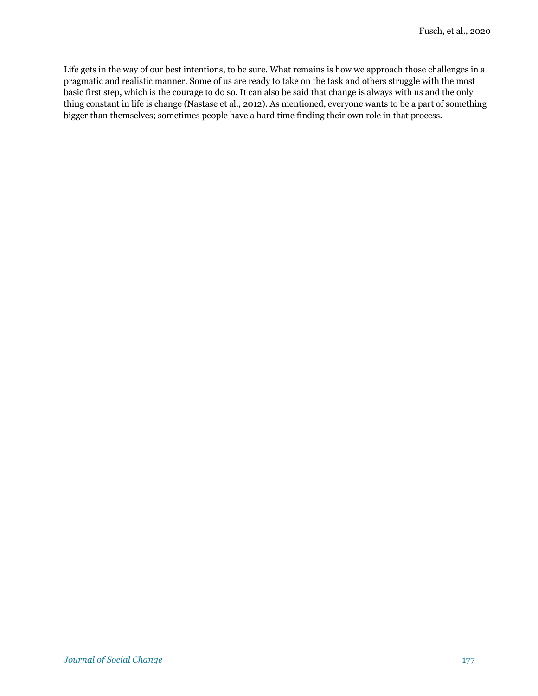Life gets in the way of our best intentions, to be sure. What remains is how we approach those challenges in a pragmatic and realistic manner. Some of us are ready to take on the task and others struggle with the most basic first step, which is the courage to do so. It can also be said that change is always with us and the only thing constant in life is change (Nastase et al., 2012). As mentioned, everyone wants to be a part of something bigger than themselves; sometimes people have a hard time finding their own role in that process.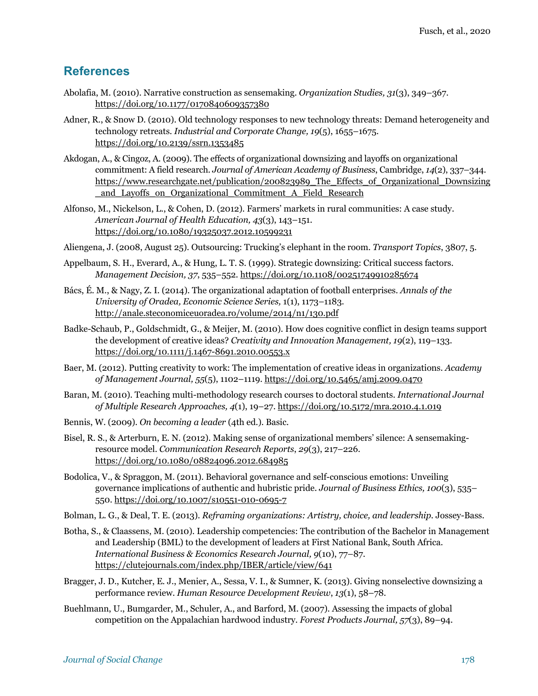#### **References**

- Abolafia, M. (2010). Narrative construction as sensemaking. *Organization Studies, 31*(3), 349–367. https://doi.org/10.1177/0170840609357380
- Adner, R., & Snow D. (2010). Old technology responses to new technology threats: Demand heterogeneity and technology retreats. *Industrial and Corporate Change, 19*(5), 1655–1675. https://doi.org/10.2139/ssrn.1353485
- Akdogan, A., & Cingoz, A. (2009). The effects of organizational downsizing and layoffs on organizational commitment: A field research. *Journal of American Academy of Business*, Cambridge, *14*(2), 337–344. https://www.researchgate.net/publication/200823989 The Effects of Organizational Downsizing \_and\_Layoffs\_on\_Organizational\_Commitment\_A\_Field\_Research
- Alfonso, M., Nickelson, L., & Cohen, D. (2012). Farmers' markets in rural communities: A case study. *American Journal of Health Education, 43*(3), 143–151. https://doi.org/10.1080/19325037.2012.10599231
- Aliengena, J. (2008, August 25). Outsourcing: Trucking's elephant in the room. *Transport Topics*, 3807, 5.
- Appelbaum, S. H., Everard, A., & Hung, L. T. S. (1999). Strategic downsizing: Critical success factors. *Management Decision, 37*, 535–552. https://doi.org/10.1108/00251749910285674
- Bács, É. M., & Nagy, Z. I. (2014). The organizational adaptation of football enterprises. *Annals of the University of Oradea, Economic Science Series,* 1(1), 1173–1183. http://anale.steconomiceuoradea.ro/volume/2014/n1/130.pdf
- Badke-Schaub, P., Goldschmidt, G., & Meijer, M. (2010). How does cognitive conflict in design teams support the development of creative ideas? *Creativity and Innovation Management, 19*(2), 119–133. https://doi.org/10.1111/j.1467-8691.2010.00553.x
- Baer, M. (2012). Putting creativity to work: The implementation of creative ideas in organizations. *Academy of Management Journal, 55*(5), 1102–1119. https://doi.org/10.5465/amj.2009.0470
- Baran, M. (2010). Teaching multi-methodology research courses to doctoral students. *International Journal of Multiple Research Approaches, 4*(1), 19–27. https://doi.org/10.5172/mra.2010.4.1.019
- Bennis, W. (2009). *On becoming a leader* (4th ed.). Basic.
- Bisel, R. S., & Arterburn, E. N. (2012). Making sense of organizational members' silence: A sensemakingresource model. *Communication Research Reports*, *29*(3), 217–226. https://doi.org/10.1080/08824096.2012.684985
- Bodolica, V., & Spraggon, M. (2011). Behavioral governance and self-conscious emotions: Unveiling governance implications of authentic and hubristic pride. *Journal of Business Ethics, 100*(3), 535– 550. https://doi.org/10.1007/s10551-010-0695-7
- Bolman, L. G., & Deal, T. E. (2013). *Reframing organizations: Artistry, choice, and leadership*. Jossey-Bass.
- Botha, S., & Claassens, M. (2010). Leadership competencies: The contribution of the Bachelor in Management and Leadership (BML) to the development of leaders at First National Bank, South Africa. *International Business & Economics Research Journal, 9*(10), 77–87. https://clutejournals.com/index.php/IBER/article/view/641
- Bragger, J. D., Kutcher, E. J., Menier, A., Sessa, V. I., & Sumner, K. (2013). Giving nonselective downsizing a performance review. *Human Resource Development Review*, *13*(1), 58–78.
- Buehlmann, U., Bumgarder, M., Schuler, A., and Barford, M. (2007). Assessing the impacts of global competition on the Appalachian hardwood industry. *Forest Products Journal, 57*(3), 89–94.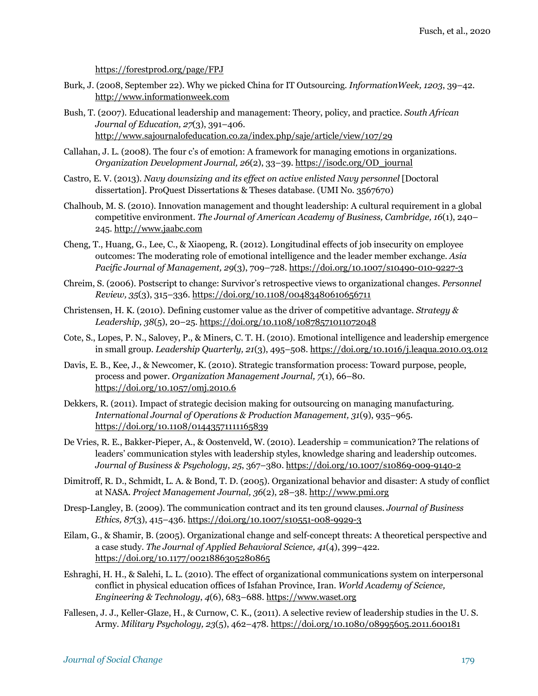https://forestprod.org/page/FPJ

- Burk, J. (2008, September 22). Why we picked China for IT Outsourcing. *InformationWeek, 1203*, 39–42. http://www.informationweek.com
- Bush, T. (2007). Educational leadership and management: Theory, policy, and practice. *South African Journal of Education, 27*(3), 391–406. http://www.sajournalofeducation.co.za/index.php/saje/article/view/107/29
- Callahan, J. L. (2008). The four c's of emotion: A framework for managing emotions in organizations. *Organization Development Journal, 26*(2), 33–39. https://isodc.org/OD\_journal
- Castro, E. V. (2013). *Navy downsizing and its effect on active enlisted Navy personnel* [Doctoral dissertation]. ProQuest Dissertations & Theses database. (UMI No. 3567670)
- Chalhoub, M. S. (2010). Innovation management and thought leadership: A cultural requirement in a global competitive environment. *The Journal of American Academy of Business, Cambridge, 16*(1), 240– 245. http://www.jaabc.com
- Cheng, T., Huang, G., Lee, C., & Xiaopeng, R. (2012). Longitudinal effects of job insecurity on employee outcomes: The moderating role of emotional intelligence and the leader member exchange. *Asia Pacific Journal of Management, 29*(3), 709–728. https://doi.org/10.1007/s10490-010-9227-3
- Chreim, S. (2006). Postscript to change: Survivor's retrospective views to organizational changes. *Personnel Review, 35*(3), 315–336. https://doi.org/10.1108/00483480610656711
- Christensen, H. K. (2010). Defining customer value as the driver of competitive advantage. *Strategy & Leadership, 38*(5), 20–25. https://doi.org/10.1108/10878571011072048
- Cote, S., Lopes, P. N., Salovey, P., & Miners, C. T. H. (2010). Emotional intelligence and leadership emergence in small group. *Leadership Quarterly, 21*(3), 495–508. https://doi.org/10.1016/j.leaqua.2010.03.012
- Davis, E. B., Kee, J., & Newcomer, K. (2010). Strategic transformation process: Toward purpose, people, process and power. *Organization Management Journal, 7*(1), 66–80. https://doi.org/10.1057/omj.2010.6
- Dekkers, R. (2011). Impact of strategic decision making for outsourcing on managing manufacturing. *International Journal of Operations & Production Management, 31*(9), 935–965. https://doi.org/10.1108/01443571111165839
- De Vries, R. E., Bakker-Pieper, A., & Oostenveld, W. (2010). Leadership = communication? The relations of leaders' communication styles with leadership styles, knowledge sharing and leadership outcomes. *Journal of Business & Psychology*, *25*, 367–380. https://doi.org/10.1007/s10869-009-9140-2
- Dimitroff, R. D., Schmidt, L. A. & Bond, T. D. (2005). Organizational behavior and disaster: A study of conflict at NASA. *Project Management Journal, 36*(2), 28–38. http://www.pmi.org
- Dresp-Langley, B. (2009). The communication contract and its ten ground clauses. *Journal of Business Ethics, 87*(3), 415–436. https://doi.org/10.1007/s10551-008-9929-3
- Eilam, G., & Shamir, B. (2005). Organizational change and self-concept threats: A theoretical perspective and a case study. *The Journal of Applied Behavioral Science, 41*(4), 399–422. https://doi.org/10.1177/0021886305280865
- Eshraghi, H. H., & Salehi, L. L. (2010). The effect of organizational communications system on interpersonal conflict in physical education offices of Isfahan Province, Iran. *World Academy of Science, Engineering & Technology*, *4*(6), 683–688. https://www.waset.org
- Fallesen, J. J., Keller-Glaze, H., & Curnow, C. K., (2011). A selective review of leadership studies in the U. S. Army*. Military Psychology, 23*(5), 462–478. https://doi.org/10.1080/08995605.2011.600181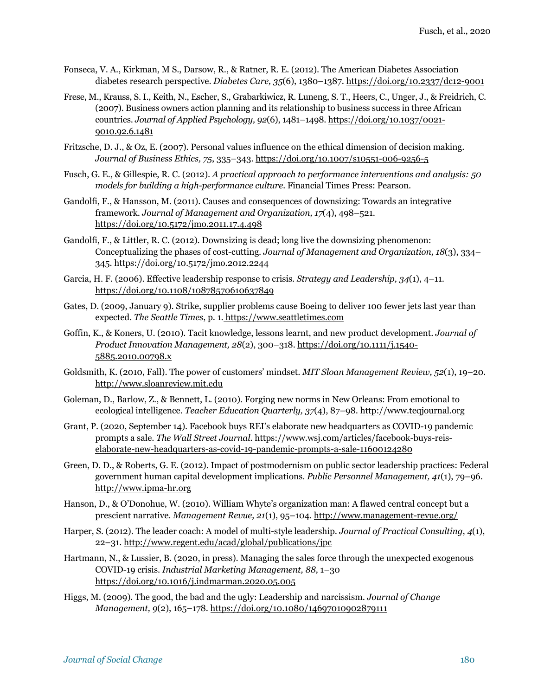- Fonseca, V. A., Kirkman, M S., Darsow, R., & Ratner, R. E. (2012). The American Diabetes Association diabetes research perspective. *Diabetes Care, 35*(6), 1380–1387. https://doi.org/10.2337/dc12-9001
- Frese, M., Krauss, S. I., Keith, N., Escher, S., Grabarkiwicz, R. Luneng, S. T., Heers, C., Unger, J., & Freidrich, C. (2007). Business owners action planning and its relationship to business success in three African countries. *Journal of Applied Psychology, 92*(6), 1481–1498. https://doi.org/10.1037/0021- 9010.92.6.1481
- Fritzsche, D. J., & Oz, E. (2007). Personal values influence on the ethical dimension of decision making. *Journal of Business Ethics, 75*, 335–343. https://doi.org/10.1007/s10551-006-9256-5
- Fusch, G. E., & Gillespie, R. C. (2012). *A practical approach to performance interventions and analysis: 50 models for building a high-performance culture.* Financial Times Press: Pearson.
- Gandolfi, F., & Hansson, M. (2011). Causes and consequences of downsizing: Towards an integrative framework. *Journal of Management and Organization, 17*(4), 498–521. https://doi.org/10.5172/jmo.2011.17.4.498
- Gandolfi, F., & Littler, R. C. (2012). Downsizing is dead; long live the downsizing phenomenon: Conceptualizing the phases of cost-cutting. *Journal of Management and Organization, 18*(3), 334– 345. https://doi.org/10.5172/jmo.2012.2244
- Garcia, H. F. (2006). Effective leadership response to crisis. *Strategy and Leadership, 34*(1), 4–11. https://doi.org/10.1108/10878570610637849
- Gates, D. (2009, January 9). Strike, supplier problems cause Boeing to deliver 100 fewer jets last year than expected. *The Seattle Times*, p. 1. https://www.seattletimes.com
- Goffin, K., & Koners, U. (2010). Tacit knowledge, lessons learnt, and new product development. *Journal of Product Innovation Management, 28*(2), 300–318. https://doi.org/10.1111/j.1540- 5885.2010.00798.x
- Goldsmith, K. (2010, Fall). The power of customers' mindset. *MIT Sloan Management Review, 52*(1), 19–20. http://www.sloanreview.mit.edu
- Goleman, D., Barlow, Z., & Bennett, L. (2010). Forging new norms in New Orleans: From emotional to ecological intelligence. *Teacher Education Quarterly, 37*(4), 87–98. http://www.teqjournal.org
- Grant, P. (2020, September 14). Facebook buys REI's elaborate new headquarters as COVID-19 pandemic prompts a sale. *The Wall Street Journal.* https://www.wsj.com/articles/facebook-buys-reiselaborate-new-headquarters-as-covid-19-pandemic-prompts-a-sale-11600124280
- Green, D. D., & Roberts, G. E. (2012). Impact of postmodernism on public sector leadership practices: Federal government human capital development implications. *Public Personnel Management, 41*(1), 79–96. http://www.ipma-hr.org
- Hanson, D., & O'Donohue, W. (2010). William Whyte's organization man: A flawed central concept but a prescient narrative. *Management Revue, 21*(1), 95–104. http://www.management-revue.org/
- Harper, S. (2012). The leader coach: A model of multi-style leadership. *Journal of Practical Consulting*, *4*(1), 22–31. http://www.regent.edu/acad/global/publications/jpc
- Hartmann, N., & Lussier, B. (2020, in press). Managing the sales force through the unexpected exogenous COVID-19 crisis. *Industrial Marketing Management, 88,* 1–30 https://doi.org/10.1016/j.indmarman.2020.05.005
- Higgs, M. (2009). The good, the bad and the ugly: Leadership and narcissism. *Journal of Change Management, 9*(2), 165–178. https://doi.org/10.1080/14697010902879111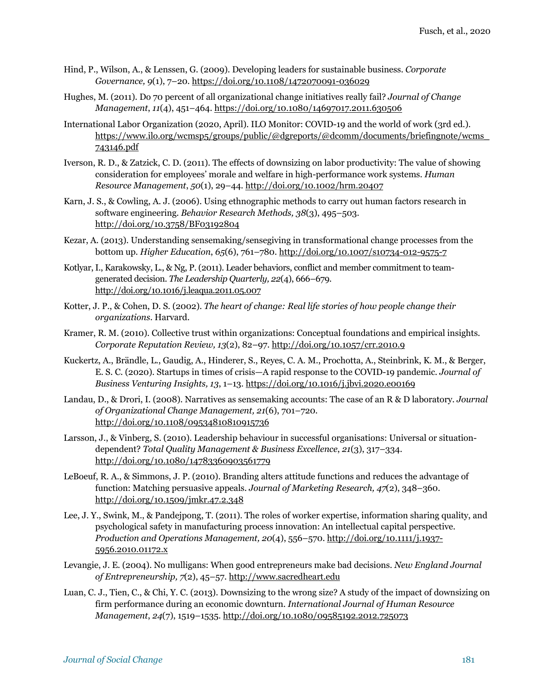- Hind, P., Wilson, A., & Lenssen, G. (2009). Developing leaders for sustainable business. *Corporate Governance, 9*(1), 7–20. https://doi.org/10.1108/1472070091-036029
- Hughes, M. (2011). Do 70 percent of all organizational change initiatives really fail? *Journal of Change Management*, *11*(4), 451–464. https://doi.org/10.1080/14697017.2011.630506
- International Labor Organization (2020, April). ILO Monitor: COVID-19 and the world of work (3rd ed.). https://www.ilo.org/wcmsp5/groups/public/@dgreports/@dcomm/documents/briefingnote/wcms\_ 743146.pdf
- Iverson, R. D., & Zatzick, C. D. (2011). The effects of downsizing on labor productivity: The value of showing consideration for employees' morale and welfare in high-performance work systems. *Human Resource Management*, *50*(1), 29–44. http://doi.org/10.1002/hrm.20407
- Karn, J. S., & Cowling, A. J. (2006). Using ethnographic methods to carry out human factors research in software engineering. *Behavior Research Methods, 38*(3), 495–503. http://doi.org/10.3758/BF03192804
- Kezar, A. (2013). Understanding sensemaking/sensegiving in transformational change processes from the bottom up. *Higher Education*, *65*(6), 761–780. http://doi.org/10.1007/s10734-012-9575-7
- Kotlyar, I., Karakowsky, L., & Ng, P. (2011). Leader behaviors, conflict and member commitment to teamgenerated decision. *The Leadership Quarterly, 22*(4), 666–679. http://doi.org/10.1016/j.leaqua.2011.05.007
- Kotter, J. P., & Cohen, D. S. (2002). *The heart of change: Real life stories of how people change their organizations*. Harvard.
- Kramer, R. M. (2010). Collective trust within organizations: Conceptual foundations and empirical insights. *Corporate Reputation Review, 13*(2), 82–97. http://doi.org/10.1057/crr.2010.9
- Kuckertz, A., Brändle, L., Gaudig, A., Hinderer, S., Reyes, C. A. M., Prochotta, A., Steinbrink, K. M., & Berger, E. S. C. (2020). Startups in times of crisis—A rapid response to the COVID-19 pandemic. *Journal of Business Venturing Insights, 13*, 1–13. https://doi.org/10.1016/j.jbvi.2020.e00169
- Landau, D., & Drori, I. (2008). Narratives as sensemaking accounts: The case of an R & D laboratory. *Journal of Organizational Change Management, 21*(6), 701–720. http://doi.org/10.1108/09534810810915736
- Larsson, J., & Vinberg, S. (2010). Leadership behaviour in successful organisations: Universal or situationdependent? *Total Quality Management & Business Excellence*, *21*(3), 317–334. http://doi.org/10.1080/14783360903561779
- LeBoeuf, R. A., & Simmons, J. P. (2010). Branding alters attitude functions and reduces the advantage of function: Matching persuasive appeals. *Journal of Marketing Research, 47*(2), 348–360. http://doi.org/10.1509/jmkr.47.2.348
- Lee, J. Y., Swink, M., & Pandejpong, T. (2011). The roles of worker expertise, information sharing quality, and psychological safety in manufacturing process innovation: An intellectual capital perspective. *Production and Operations Management, 20*(4), 556–570. http://doi.org/10.1111/j.1937- 5956.2010.01172.x
- Levangie, J. E. (2004). No mulligans: When good entrepreneurs make bad decisions. *New England Journal of Entrepreneurship, 7*(2), 45–57. http://www.sacredheart.edu
- Luan, C. J., Tien, C., & Chi, Y. C. (2013). Downsizing to the wrong size? A study of the impact of downsizing on firm performance during an economic downturn. *International Journal of Human Resource Management*, *24*(7), 1519–1535. http://doi.org/10.1080/09585192.2012.725073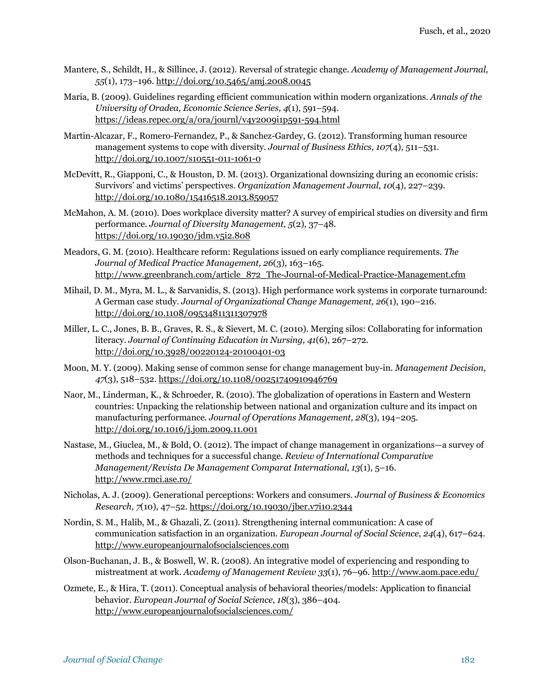- Mantere, S., Schildt, H., & Sillince, J. (2012). Reversal of strategic change. *Academy of Management Journal, 55*(1), 173–196. http://doi.org/10.5465/amj.2008.0045
- Maria, B. (2009). Guidelines regarding efficient communication within modern organizations. *Annals of the University of Oradea, Economic Science Series, 4*(1), 591–594. https://ideas.repec.org/a/ora/journl/v4y2009i1p591-594.html
- Martin-Alcazar, F., Romero-Fernandez, P., & Sanchez-Gardey, G. (2012). Transforming human resource management systems to cope with diversity. *Journal of Business Ethics, 107*(4)*,* 511–531. http://doi.org/10.1007/s10551-011-1061-0
- McDevitt, R., Giapponi, C., & Houston, D. M. (2013). Organizational downsizing during an economic crisis: Survivors' and victims' perspectives. *Organization Management Journal*, *10*(4), 227–239. http://doi.org/10.1080/15416518.2013.859057
- McMahon, A. M. (2010). Does workplace diversity matter? A survey of empirical studies on diversity and firm performance. *Journal of Diversity Management, 5*(2)*,* 37–48*.* https://doi.org/10.19030/jdm.v5i2.808
- Meadors, G. M. (2010). Healthcare reform: Regulations issued on early compliance requirements. *The Journal of Medical Practice Management, 26*(3), 163–165. http://www.greenbranch.com/article\_872\_The-Journal-of-Medical-Practice-Management.cfm
- Mihail, D. M., Myra, M. L., & Sarvanidis, S. (2013). High performance work systems in corporate turnaround: A German case study. *Journal of Organizational Change Management, 26*(1), 190–216. http://doi.org/10.1108/09534811311307978
- Miller, L. C., Jones, B. B., Graves, R. S., & Sievert, M. C. (2010). Merging silos: Collaborating for information literacy. *Journal of Continuing Education in Nursing, 41*(6), 267–272. http://doi.org/10.3928/00220124-20100401-03
- Moon, M. Y. (2009). Making sense of common sense for change management buy-in. *Management Decision*, *47*(3), 518–532. https://doi.org/10.1108/00251740910946769
- Naor, M., Linderman, K., & Schroeder, R. (2010). The globalization of operations in Eastern and Western countries: Unpacking the relationship between national and organization culture and its impact on manufacturing performance. *Journal of Operations Management, 28*(3), 194–205. http://doi.org/10.1016/j.jom.2009.11.001
- Nastase, M., Giuclea, M., & Bold, O. (2012). The impact of change management in organizations—a survey of methods and techniques for a successful change. *Review of International Comparative Management/Revista De Management Comparat International*, *13*(1), 5–16. http://www.rmci.ase.ro/
- Nicholas, A. J. (2009). Generational perceptions: Workers and consumers. *Journal of Business & Economics Research, 7*(10), 47–52. https://doi.org/10.19030/jber.v7i10.2344
- Nordin, S. M., Halib, M., & Ghazali, Z. (2011). Strengthening internal communication: A case of communication satisfaction in an organization. *European Journal of Social Science*, *24*(4), 617–624. http://www.europeanjournalofsocialsciences.com
- Olson-Buchanan, J. B., & Boswell, W. R. (2008). An integrative model of experiencing and responding to mistreatment at work. *Academy of Management Review 33*(1), 76–96. http://www.aom.pace.edu/
- Ozmete, E., & Hira, T. (2011). Conceptual analysis of behavioral theories/models: Application to financial behavior. *European Journal of Social Science*, *18*(3), 386–404. http://www.europeanjournalofsocialsciences.com/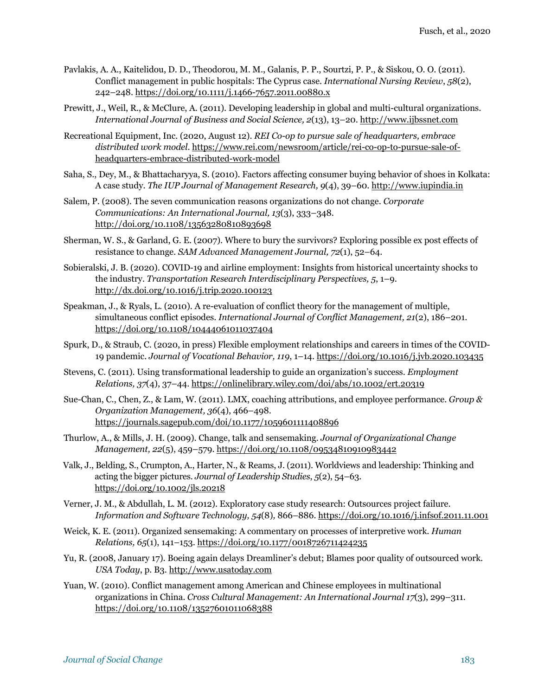- Pavlakis, A. A., Kaitelidou, D. D., Theodorou, M. M., Galanis, P. P., Sourtzi, P. P., & Siskou, O. O. (2011). Conflict management in public hospitals: The Cyprus case. *International Nursing Review*, *58*(2), 242–248. https://doi.org/10.1111/j.1466-7657.2011.00880.x
- Prewitt, J., Weil, R., & McClure, A. (2011). Developing leadership in global and multi-cultural organizations. *International Journal of Business and Social Science, 2*(13), 13–20. http://www.ijbssnet.com
- Recreational Equipment, Inc. (2020, August 12). *REI Co-op to pursue sale of headquarters, embrace distributed work model*. https://www.rei.com/newsroom/article/rei-co-op-to-pursue-sale-ofheadquarters-embrace-distributed-work-model
- Saha, S., Dey, M., & Bhattacharyya, S. (2010). Factors affecting consumer buying behavior of shoes in Kolkata: A case study. *The IUP Journal of Management Research, 9*(4), 39–60. http://www.iupindia.in
- Salem, P. (2008). The seven communication reasons organizations do not change. *Corporate Communications: An International Journal, 13*(3), 333–348. http://doi.org/10.1108/13563280810893698
- Sherman, W. S., & Garland, G. E. (2007). Where to bury the survivors? Exploring possible ex post effects of resistance to change. *SAM Advanced Management Journal, 72*(1), 52–64.
- Sobieralski, J. B. (2020). COVID-19 and airline employment: Insights from historical uncertainty shocks to the industry. *Transportation Research Interdisciplinary Perspectives, 5*, 1–9. http://dx.doi.org/10.1016/j.trip.2020.100123
- Speakman, J., & Ryals, L. (2010). A re-evaluation of conflict theory for the management of multiple, simultaneous conflict episodes. *International Journal of Conflict Management, 21*(2), 186–201. https://doi.org/10.1108/10444061011037404
- Spurk, D., & Straub, C. (2020, in press) Flexible employment relationships and careers in times of the COVID-19 pandemic. *Journal of Vocational Behavior, 119*, 1–14. https://doi.org/10.1016/j.jvb.2020.103435
- Stevens, C. (2011). Using transformational leadership to guide an organization's success. *Employment Relations, 37*(4), 37–44. https://onlinelibrary.wiley.com/doi/abs/10.1002/ert.20319
- Sue-Chan, C., Chen, Z., & Lam, W. (2011). LMX, coaching attributions, and employee performance. *Group & Organization Management, 36*(4), 466–498. https://journals.sagepub.com/doi/10.1177/1059601111408896
- Thurlow, A., & Mills, J. H. (2009). Change, talk and sensemaking. *Journal of Organizational Change Management, 22*(5), 459–579. https://doi.org/10.1108/09534810910983442
- Valk, J., Belding, S., Crumpton, A., Harter, N., & Reams, J. (2011). Worldviews and leadership: Thinking and acting the bigger pictures. *Journal of Leadership Studies*, *5*(2), 54–63. https://doi.org/10.1002/jls.20218
- Verner, J. M., & Abdullah, L. M. (2012). Exploratory case study research: Outsources project failure. *Information and Software Technology, 54*(8)*,* 866–886. https://doi.org/10.1016/j.infsof.2011.11.001
- Weick, K. E. (2011). Organized sensemaking: A commentary on processes of interpretive work. *Human Relations, 65*(1), 141–153. https://doi.org/10.1177/0018726711424235
- Yu, R. (2008, January 17). Boeing again delays Dreamliner's debut; Blames poor quality of outsourced work. *USA Today*, p. B3. http://www.usatoday.com
- Yuan, W. (2010). Conflict management among American and Chinese employees in multinational organizations in China. *Cross Cultural Management: An International Journal 17*(3), 299–311. https://doi.org/10.1108/13527601011068388